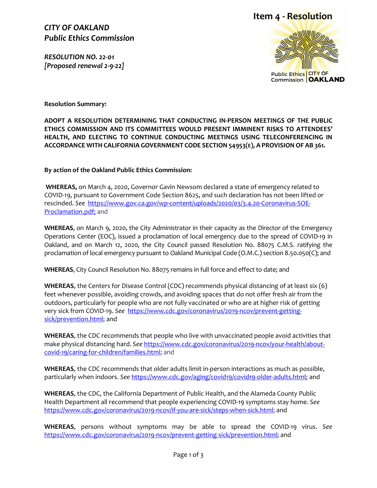*CITY OF OAKLAND Public Ethics Commission*

*RESOLUTION NO. 22-01 [Proposed renewal 2-9-22]* 

# **Item 4 - Resolution**



**Resolution Summary:**

**ADOPT A RESOLUTION DETERMINING THAT CONDUCTING IN-PERSON MEETINGS OF THE PUBLIC ETHICS COMMISSION AND ITS COMMITTEES WOULD PRESENT IMMINENT RISKS TO ATTENDEES' HEALTH, AND ELECTING TO CONTINUE CONDUCTING MEETINGS USING TELECONFERENCING IN ACCORDANCE WITH CALIFORNIA GOVERNMENT CODE SECTION 54953(E), A PROVISION OF AB 361.**

**By action of the Oakland Public Ethics Commission:**

**WHEREAS,** on March 4, 2020, Governor Gavin Newsom declared a state of emergency related to COVID-19, pursuant to Government Code Section 8625, and such declaration has not been lifted or rescinded. *See* [https://www.gov.ca.gov/wp-content/uploads/2020/03/3.4.20-Coronavirus-SOE-](https://www.gov.ca.gov/wp-content/uploads/2020/03/3.4.20-Coronavirus-SOE-Proclamation.pdf)[Proclamation.pdf;](https://www.gov.ca.gov/wp-content/uploads/2020/03/3.4.20-Coronavirus-SOE-Proclamation.pdf) and

**WHEREAS**, on March 9, 2020, the City Administrator in their capacity as the Director of the Emergency Operations Center (EOC), issued a proclamation of local emergency due to the spread of COVID-19 in Oakland, and on March 12, 2020, the City Council passed Resolution No. 88075 C.M.S. ratifying the proclamation of local emergency pursuant to Oakland Municipal Code (O.M.C.) section 8.50.050(C); and

**WHEREAS**, City Council Resolution No. 88075 remains in full force and effect to date; and

**WHEREAS**, the Centers for Disease Control (CDC) recommends physical distancing of at least six (6) feet whenever possible, avoiding crowds, and avoiding spaces that do not offer fresh air from the outdoors, particularly for people who are not fully vaccinated or who are at higher risk of getting very sick from COVID-19. *See* [https://www.cdc.gov/coronavirus/2019-ncov/prevent-getting](https://www.cdc.gov/coronavirus/2019-ncov/prevent-getting-sick/prevention.html)[sick/prevention.html;](https://www.cdc.gov/coronavirus/2019-ncov/prevent-getting-sick/prevention.html) and

**WHEREAS**, the CDC recommends that people who live with unvaccinated people avoid activities that make physical distancing hard. *See* [https://www.cdc.gov/coronavirus/2019-ncov/your-health/about](https://www.cdc.gov/coronavirus/2019-ncov/your-health/about-covid-19/caring-for-children/families.html)[covid-19/caring-for-children/families.html;](https://www.cdc.gov/coronavirus/2019-ncov/your-health/about-covid-19/caring-for-children/families.html) and

**WHEREAS**, the CDC recommends that older adults limit in-person interactions as much as possible, particularly when indoors. *See* [https://www.cdc.gov/aging/covid19/covid19-older-adults.html;](https://www.cdc.gov/aging/covid19/covid19-older-adults.html) and

**WHEREAS**, the CDC, the California Department of Public Health, and the Alameda County Public Health Department all recommend that people experiencing COVID-19 symptoms stay home. *See* [https://www.cdc.gov/coronavirus/2019-ncov/if-you-are-sick/steps-when-sick.html;](https://www.cdc.gov/coronavirus/2019-ncov/if-you-are-sick/steps-when-sick.html) and

**WHEREAS**, persons without symptoms may be able to spread the COVID-19 virus. *See*  [https://www.cdc.gov/coronavirus/2019-ncov/prevent-getting-sick/prevention.html;](https://www.cdc.gov/coronavirus/2019-ncov/prevent-getting-sick/prevention.html) and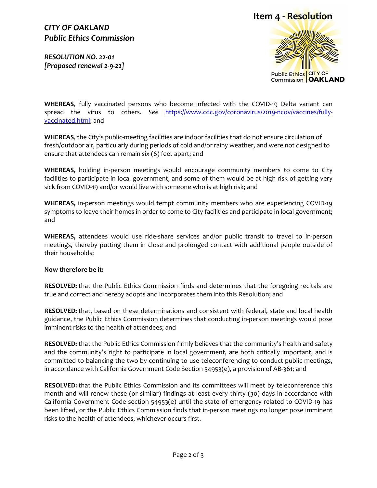### *CITY OF OAKLAND Public Ethics Commission*

*RESOLUTION NO. 22-01 [Proposed renewal 2-9-22]* 





**WHEREAS**, fully vaccinated persons who become infected with the COVID-19 Delta variant can spread the virus to others. *See* [https://www.cdc.gov/coronavirus/2019-ncov/vaccines/fully](https://www.cdc.gov/coronavirus/2019-ncov/vaccines/fully-vaccinated.html)[vaccinated.html;](https://www.cdc.gov/coronavirus/2019-ncov/vaccines/fully-vaccinated.html) and

**WHEREAS**, the City's public-meeting facilities are indoor facilities that do not ensure circulation of fresh/outdoor air, particularly during periods of cold and/or rainy weather, and were not designed to ensure that attendees can remain six (6) feet apart; and

**WHEREAS,** holding in-person meetings would encourage community members to come to City facilities to participate in local government, and some of them would be at high risk of getting very sick from COVID-19 and/or would live with someone who is at high risk; and

**WHEREAS,** in-person meetings would tempt community members who are experiencing COVID-19 symptoms to leave their homes in order to come to City facilities and participate in local government; and

**WHEREAS,** attendees would use ride-share services and/or public transit to travel to in-person meetings, thereby putting them in close and prolonged contact with additional people outside of their households;

#### **Now therefore be it:**

**RESOLVED:** that the Public Ethics Commission finds and determines that the foregoing recitals are true and correct and hereby adopts and incorporates them into this Resolution; and

**RESOLVED:** that, based on these determinations and consistent with federal, state and local health guidance, the Public Ethics Commission determines that conducting in-person meetings would pose imminent risks to the health of attendees; and

**RESOLVED:** that the Public Ethics Commission firmly believes that the community's health and safety and the community's right to participate in local government, are both critically important, and is committed to balancing the two by continuing to use teleconferencing to conduct public meetings, in accordance with California Government Code Section 54953(e), a provision of AB-361; and

**RESOLVED:** that the Public Ethics Commission and its committees will meet by teleconference this month and will renew these (or similar) findings at least every thirty (30) days in accordance with California Government Code section 54953(e) until the state of emergency related to COVID-19 has been lifted, or the Public Ethics Commission finds that in-person meetings no longer pose imminent risks to the health of attendees, whichever occurs first.